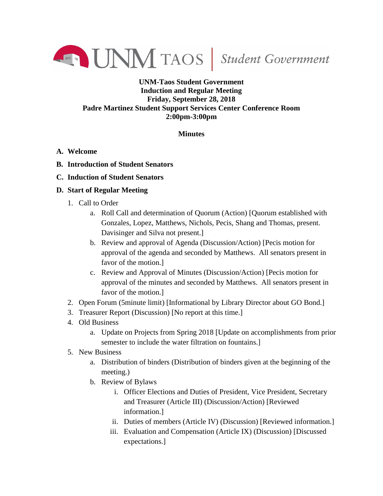

## **UNM-Taos Student Government Induction and Regular Meeting Friday, September 28, 2018 Padre Martinez Student Support Services Center Conference Room 2:00pm-3:00pm**

## **Minutes**

- **A. Welcome**
- **B. Introduction of Student Senators**
- **C. Induction of Student Senators**

## **D. Start of Regular Meeting**

- 1. Call to Order
	- a. Roll Call and determination of Quorum (Action) [Quorum established with Gonzales, Lopez, Matthews, Nichols, Pecis, Shang and Thomas, present. Davisinger and Silva not present.]
	- b. Review and approval of Agenda (Discussion/Action) [Pecis motion for approval of the agenda and seconded by Matthews. All senators present in favor of the motion.]
	- c. Review and Approval of Minutes (Discussion/Action) [Pecis motion for approval of the minutes and seconded by Matthews. All senators present in favor of the motion.]
- 2. Open Forum (5minute limit) [Informational by Library Director about GO Bond.]
- 3. Treasurer Report (Discussion) [No report at this time.]
- 4. Old Business
	- a. Update on Projects from Spring 2018 [Update on accomplishments from prior semester to include the water filtration on fountains.]
- 5. New Business
	- a. Distribution of binders (Distribution of binders given at the beginning of the meeting.)
	- b. Review of Bylaws
		- i. Officer Elections and Duties of President, Vice President, Secretary and Treasurer (Article III) (Discussion/Action) [Reviewed information.]
		- ii. Duties of members (Article IV) (Discussion) [Reviewed information.]
		- iii. Evaluation and Compensation (Article IX) (Discussion) [Discussed expectations.]